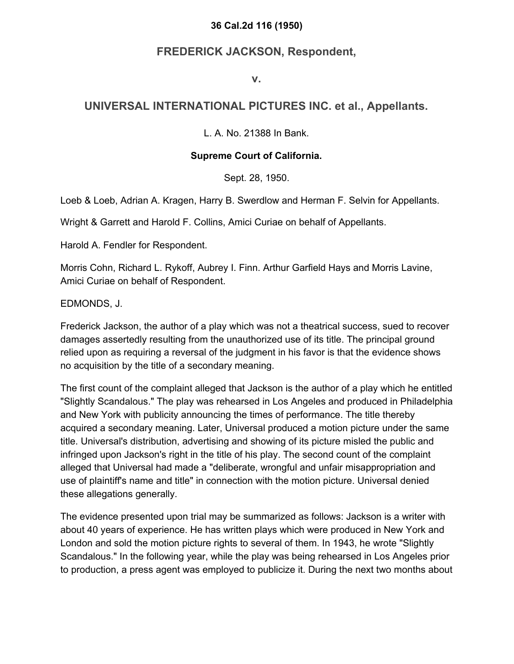#### **36 Cal.2d 116 (1950)**

# **FREDERICK JACKSON, Respondent,**

#### **v.**

## **UNIVERSAL INTERNATIONAL PICTURES INC. et al., Appellants.**

L. A. No. 21388 In Bank.

### **Supreme Court of California.**

Sept. 28, 1950.

Loeb & Loeb, Adrian A. Kragen, Harry B. Swerdlow and Herman F. Selvin for Appellants.

Wright & Garrett and Harold F. Collins, Amici Curiae on behalf of Appellants.

Harold A. Fendler for Respondent.

Morris Cohn, Richard L. Rykoff, Aubrey I. Finn. Arthur Garfield Hays and Morris Lavine, Amici Curiae on behalf of Respondent.

EDMONDS, J.

Frederick Jackson, the author of a play which was not a theatrical success, sued to recover damages assertedly resulting from the unauthorized use of its title. The principal ground relied upon as requiring a reversal of the judgment in his favor is that the evidence shows no acquisition by the title of a secondary meaning.

The first count of the complaint alleged that Jackson is the author of a play which he entitled "Slightly Scandalous." The play was rehearsed in Los Angeles and produced in Philadelphia and New York with publicity announcing the times of performance. The title thereby acquired a secondary meaning. Later, Universal produced a motion picture under the same title. Universal's distribution, advertising and showing of its picture misled the public and infringed upon Jackson's right in the title of his play. The second count of the complaint alleged that Universal had made a "deliberate, wrongful and unfair misappropriation and use of plaintiff's name and title" in connection with the motion picture. Universal denied these allegations generally.

The evidence presented upon trial may be summarized as follows: Jackson is a writer with about 40 years of experience. He has written plays which were produced in New York and London and sold the motion picture rights to several of them. In 1943, he wrote "Slightly Scandalous." In the following year, while the play was being rehearsed in Los Angeles prior to production, a press agent was employed to publicize it. During the next two months about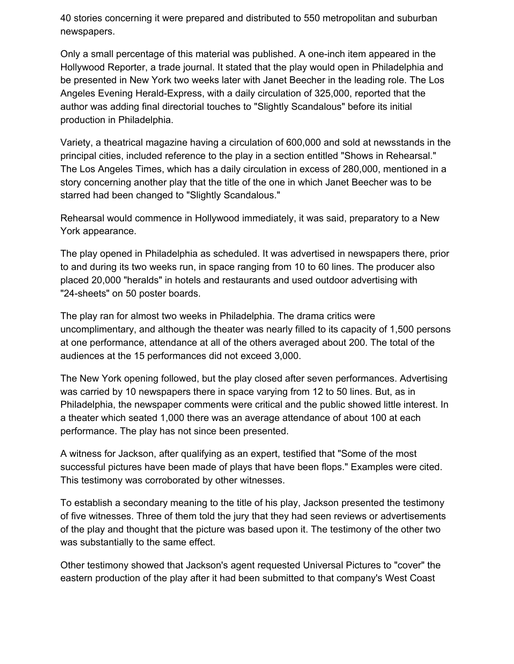40 stories concerning it were prepared and distributed to 550 metropolitan and suburban newspapers.

Only a small percentage of this material was published. A one-inch item appeared in the Hollywood Reporter, a trade journal. It stated that the play would open in Philadelphia and be presented in New York two weeks later with Janet Beecher in the leading role. The Los Angeles Evening Herald-Express, with a daily circulation of 325,000, reported that the author was adding final directorial touches to "Slightly Scandalous" before its initial production in Philadelphia.

Variety, a theatrical magazine having a circulation of 600,000 and sold at newsstands in the principal cities, included reference to the play in a section entitled "Shows in Rehearsal." The Los Angeles Times, which has a daily circulation in excess of 280,000, mentioned in a story concerning another play that the title of the one in which Janet Beecher was to be starred had been changed to "Slightly Scandalous."

Rehearsal would commence in Hollywood immediately, it was said, preparatory to a New York appearance.

The play opened in Philadelphia as scheduled. It was advertised in newspapers there, prior to and during its two weeks run, in space ranging from 10 to 60 lines. The producer also placed 20,000 "heralds" in hotels and restaurants and used outdoor advertising with "24-sheets" on 50 poster boards.

The play ran for almost two weeks in Philadelphia. The drama critics were uncomplimentary, and although the theater was nearly filled to its capacity of 1,500 persons at one performance, attendance at all of the others averaged about 200. The total of the audiences at the 15 performances did not exceed 3,000.

The New York opening followed, but the play closed after seven performances. Advertising was carried by 10 newspapers there in space varying from 12 to 50 lines. But, as in Philadelphia, the newspaper comments were critical and the public showed little interest. In a theater which seated 1,000 there was an average attendance of about 100 at each performance. The play has not since been presented.

A witness for Jackson, after qualifying as an expert, testified that "Some of the most successful pictures have been made of plays that have been flops." Examples were cited. This testimony was corroborated by other witnesses.

To establish a secondary meaning to the title of his play, Jackson presented the testimony of five witnesses. Three of them told the jury that they had seen reviews or advertisements of the play and thought that the picture was based upon it. The testimony of the other two was substantially to the same effect.

Other testimony showed that Jackson's agent requested Universal Pictures to "cover" the eastern production of the play after it had been submitted to that company's West Coast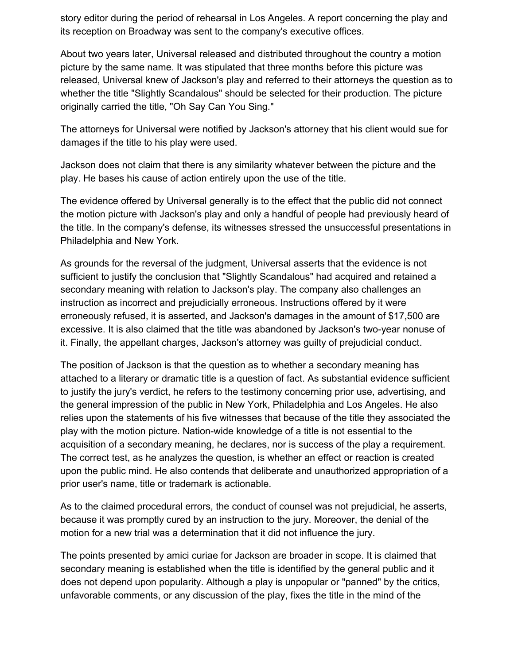story editor during the period of rehearsal in Los Angeles. A report concerning the play and its reception on Broadway was sent to the company's executive offices.

About two years later, Universal released and distributed throughout the country a motion picture by the same name. It was stipulated that three months before this picture was released, Universal knew of Jackson's play and referred to their attorneys the question as to whether the title "Slightly Scandalous" should be selected for their production. The picture originally carried the title, "Oh Say Can You Sing."

The attorneys for Universal were notified by Jackson's attorney that his client would sue for damages if the title to his play were used.

Jackson does not claim that there is any similarity whatever between the picture and the play. He bases his cause of action entirely upon the use of the title.

The evidence offered by Universal generally is to the effect that the public did not connect the motion picture with Jackson's play and only a handful of people had previously heard of the title. In the company's defense, its witnesses stressed the unsuccessful presentations in Philadelphia and New York.

As grounds for the reversal of the judgment, Universal asserts that the evidence is not sufficient to justify the conclusion that "Slightly Scandalous" had acquired and retained a secondary meaning with relation to Jackson's play. The company also challenges an instruction as incorrect and prejudicially erroneous. Instructions offered by it were erroneously refused, it is asserted, and Jackson's damages in the amount of \$17,500 are excessive. It is also claimed that the title was abandoned by Jackson's two-year nonuse of it. Finally, the appellant charges, Jackson's attorney was guilty of prejudicial conduct.

The position of Jackson is that the question as to whether a secondary meaning has attached to a literary or dramatic title is a question of fact. As substantial evidence sufficient to justify the jury's verdict, he refers to the testimony concerning prior use, advertising, and the general impression of the public in New York, Philadelphia and Los Angeles. He also relies upon the statements of his five witnesses that because of the title they associated the play with the motion picture. Nation-wide knowledge of a title is not essential to the acquisition of a secondary meaning, he declares, nor is success of the play a requirement. The correct test, as he analyzes the question, is whether an effect or reaction is created upon the public mind. He also contends that deliberate and unauthorized appropriation of a prior user's name, title or trademark is actionable.

As to the claimed procedural errors, the conduct of counsel was not prejudicial, he asserts, because it was promptly cured by an instruction to the jury. Moreover, the denial of the motion for a new trial was a determination that it did not influence the jury.

The points presented by amici curiae for Jackson are broader in scope. It is claimed that secondary meaning is established when the title is identified by the general public and it does not depend upon popularity. Although a play is unpopular or "panned" by the critics, unfavorable comments, or any discussion of the play, fixes the title in the mind of the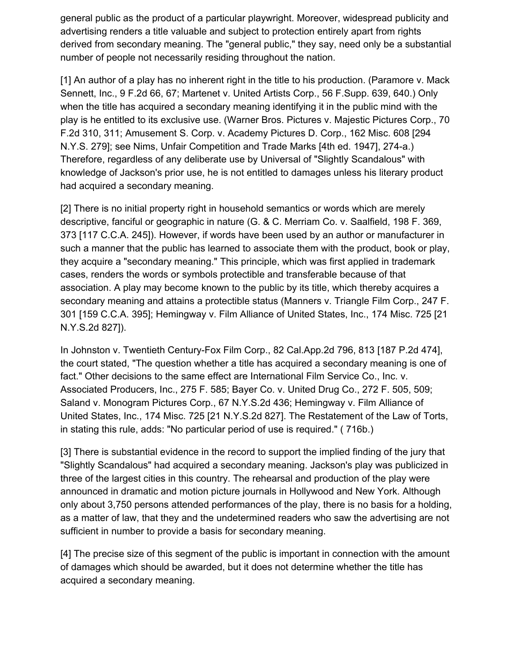general public as the product of a particular playwright. Moreover, widespread publicity and advertising renders a title valuable and subject to protection entirely apart from rights derived from secondary meaning. The "general public," they say, need only be a substantial number of people not necessarily residing throughout the nation.

[1] An author of a play has no inherent right in the title to his production. (Paramore v. Mack Sennett, Inc., 9 F.2d 66, 67; Martenet v. United Artists Corp., 56 F.Supp. 639, 640.) Only when the title has acquired a secondary meaning identifying it in the public mind with the play is he entitled to its exclusive use. (Warner Bros. Pictures v. Majestic Pictures Corp., 70 F.2d 310, 311; Amusement S. Corp. v. Academy Pictures D. Corp., 162 Misc. 608 [294 N.Y.S. 279]; see Nims, Unfair Competition and Trade Marks [4th ed. 1947], 274-a.) Therefore, regardless of any deliberate use by Universal of "Slightly Scandalous" with knowledge of Jackson's prior use, he is not entitled to damages unless his literary product had acquired a secondary meaning.

[2] There is no initial property right in household semantics or words which are merely descriptive, fanciful or geographic in nature (G. & C. Merriam Co. v. Saalfield, 198 F. 369, 373 [117 C.C.A. 245]). However, if words have been used by an author or manufacturer in such a manner that the public has learned to associate them with the product, book or play, they acquire a "secondary meaning." This principle, which was first applied in trademark cases, renders the words or symbols protectible and transferable because of that association. A play may become known to the public by its title, which thereby acquires a secondary meaning and attains a protectible status (Manners v. Triangle Film Corp., 247 F. 301 [159 C.C.A. 395]; Hemingway v. Film Alliance of United States, Inc., 174 Misc. 725 [21 N.Y.S.2d 827]).

In Johnston v. Twentieth Century-Fox Film Corp., 82 Cal.App.2d 796, 813 [187 P.2d 474], the court stated, "The question whether a title has acquired a secondary meaning is one of fact." Other decisions to the same effect are International Film Service Co., Inc. v. Associated Producers, Inc., 275 F. 585; Bayer Co. v. United Drug Co., 272 F. 505, 509; Saland v. Monogram Pictures Corp., 67 N.Y.S.2d 436; Hemingway v. Film Alliance of United States, Inc., 174 Misc. 725 [21 N.Y.S.2d 827]. The Restatement of the Law of Torts, in stating this rule, adds: "No particular period of use is required." ( 716b.)

[3] There is substantial evidence in the record to support the implied finding of the jury that "Slightly Scandalous" had acquired a secondary meaning. Jackson's play was publicized in three of the largest cities in this country. The rehearsal and production of the play were announced in dramatic and motion picture journals in Hollywood and New York. Although only about 3,750 persons attended performances of the play, there is no basis for a holding, as a matter of law, that they and the undetermined readers who saw the advertising are not sufficient in number to provide a basis for secondary meaning.

[4] The precise size of this segment of the public is important in connection with the amount of damages which should be awarded, but it does not determine whether the title has acquired a secondary meaning.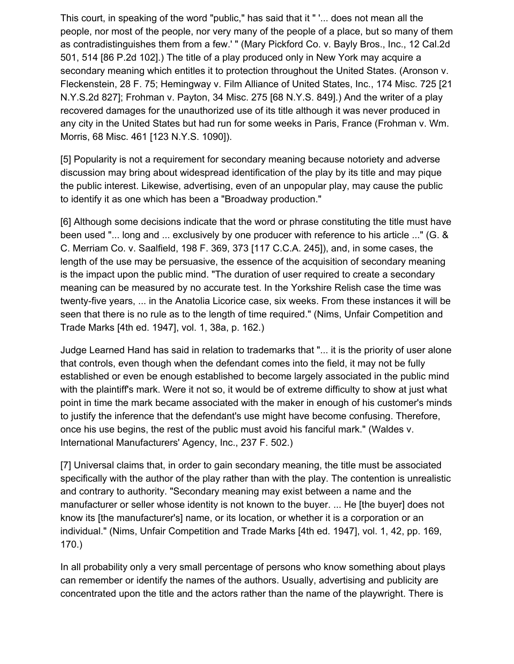This court, in speaking of the word "public," has said that it " '... does not mean all the people, nor most of the people, nor very many of the people of a place, but so many of them as contradistinguishes them from a few.' " (Mary Pickford Co. v. Bayly Bros., Inc., 12 Cal.2d 501, 514 [86 P.2d 102].) The title of a play produced only in New York may acquire a secondary meaning which entitles it to protection throughout the United States. (Aronson v. Fleckenstein, 28 F. 75; Hemingway v. Film Alliance of United States, Inc., 174 Misc. 725 [21 N.Y.S.2d 827]; Frohman v. Payton, 34 Misc. 275 [68 N.Y.S. 849].) And the writer of a play recovered damages for the unauthorized use of its title although it was never produced in any city in the United States but had run for some weeks in Paris, France (Frohman v. Wm. Morris, 68 Misc. 461 [123 N.Y.S. 1090]).

[5] Popularity is not a requirement for secondary meaning because notoriety and adverse discussion may bring about widespread identification of the play by its title and may pique the public interest. Likewise, advertising, even of an unpopular play, may cause the public to identify it as one which has been a "Broadway production."

[6] Although some decisions indicate that the word or phrase constituting the title must have been used "... long and ... exclusively by one producer with reference to his article ..." (G. & C. Merriam Co. v. Saalfield, 198 F. 369, 373 [117 C.C.A. 245]), and, in some cases, the length of the use may be persuasive, the essence of the acquisition of secondary meaning is the impact upon the public mind. "The duration of user required to create a secondary meaning can be measured by no accurate test. In the Yorkshire Relish case the time was twenty-five years, ... in the Anatolia Licorice case, six weeks. From these instances it will be seen that there is no rule as to the length of time required." (Nims, Unfair Competition and Trade Marks [4th ed. 1947], vol. 1, 38a, p. 162.)

Judge Learned Hand has said in relation to trademarks that "... it is the priority of user alone that controls, even though when the defendant comes into the field, it may not be fully established or even be enough established to become largely associated in the public mind with the plaintiff's mark. Were it not so, it would be of extreme difficulty to show at just what point in time the mark became associated with the maker in enough of his customer's minds to justify the inference that the defendant's use might have become confusing. Therefore, once his use begins, the rest of the public must avoid his fanciful mark." (Waldes v. International Manufacturers' Agency, Inc., 237 F. 502.)

[7] Universal claims that, in order to gain secondary meaning, the title must be associated specifically with the author of the play rather than with the play. The contention is unrealistic and contrary to authority. "Secondary meaning may exist between a name and the manufacturer or seller whose identity is not known to the buyer. ... He [the buyer] does not know its [the manufacturer's] name, or its location, or whether it is a corporation or an individual." (Nims, Unfair Competition and Trade Marks [4th ed. 1947], vol. 1, 42, pp. 169, 170.)

In all probability only a very small percentage of persons who know something about plays can remember or identify the names of the authors. Usually, advertising and publicity are concentrated upon the title and the actors rather than the name of the playwright. There is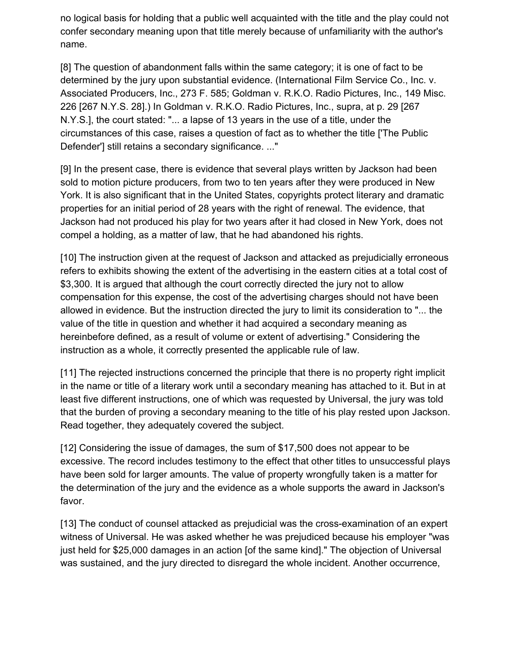no logical basis for holding that a public well acquainted with the title and the play could not confer secondary meaning upon that title merely because of unfamiliarity with the author's name.

[8] The question of abandonment falls within the same category; it is one of fact to be determined by the jury upon substantial evidence. (International Film Service Co., Inc. v. Associated Producers, Inc., 273 F. 585; Goldman v. R.K.O. Radio Pictures, Inc., 149 Misc. 226 [267 N.Y.S. 28].) In Goldman v. R.K.O. Radio Pictures, Inc., supra, at p. 29 [267 N.Y.S.], the court stated: "... a lapse of 13 years in the use of a title, under the circumstances of this case, raises a question of fact as to whether the title ['The Public Defender'] still retains a secondary significance. ..."

[9] In the present case, there is evidence that several plays written by Jackson had been sold to motion picture producers, from two to ten years after they were produced in New York. It is also significant that in the United States, copyrights protect literary and dramatic properties for an initial period of 28 years with the right of renewal. The evidence, that Jackson had not produced his play for two years after it had closed in New York, does not compel a holding, as a matter of law, that he had abandoned his rights.

[10] The instruction given at the request of Jackson and attacked as prejudicially erroneous refers to exhibits showing the extent of the advertising in the eastern cities at a total cost of \$3,300. It is argued that although the court correctly directed the jury not to allow compensation for this expense, the cost of the advertising charges should not have been allowed in evidence. But the instruction directed the jury to limit its consideration to "... the value of the title in question and whether it had acquired a secondary meaning as hereinbefore defined, as a result of volume or extent of advertising." Considering the instruction as a whole, it correctly presented the applicable rule of law.

[11] The rejected instructions concerned the principle that there is no property right implicit in the name or title of a literary work until a secondary meaning has attached to it. But in at least five different instructions, one of which was requested by Universal, the jury was told that the burden of proving a secondary meaning to the title of his play rested upon Jackson. Read together, they adequately covered the subject.

[12] Considering the issue of damages, the sum of \$17,500 does not appear to be excessive. The record includes testimony to the effect that other titles to unsuccessful plays have been sold for larger amounts. The value of property wrongfully taken is a matter for the determination of the jury and the evidence as a whole supports the award in Jackson's favor.

[13] The conduct of counsel attacked as prejudicial was the cross-examination of an expert witness of Universal. He was asked whether he was prejudiced because his employer "was just held for \$25,000 damages in an action [of the same kind]." The objection of Universal was sustained, and the jury directed to disregard the whole incident. Another occurrence,